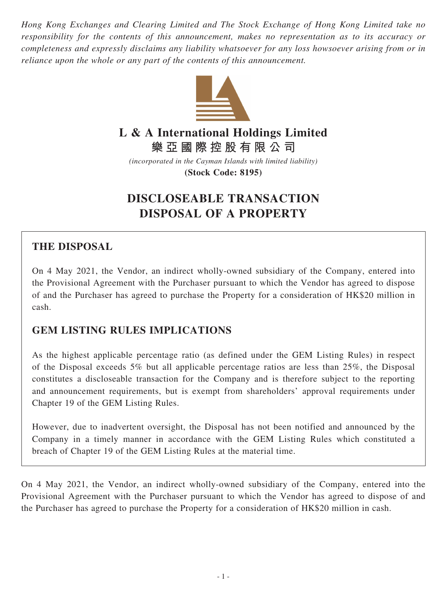*Hong Kong Exchanges and Clearing Limited and The Stock Exchange of Hong Kong Limited take no responsibility for the contents of this announcement, makes no representation as to its accuracy or completeness and expressly disclaims any liability whatsoever for any loss howsoever arising from or in reliance upon the whole or any part of the contents of this announcement.*



# **L & A International Holdings Limited**

**樂亞國際控股有限公司**

*(incorporated in the Cayman Islands with limited liability)* **(Stock Code: 8195)**

# **DISCLOSEABLE TRANSACTION DISPOSAL OF A PROPERTY**

# **THE DISPOSAL**

On 4 May 2021, the Vendor, an indirect wholly-owned subsidiary of the Company, entered into the Provisional Agreement with the Purchaser pursuant to which the Vendor has agreed to dispose of and the Purchaser has agreed to purchase the Property for a consideration of HK\$20 million in cash.

# **GEM LISTING RULES IMPLICATIONS**

As the highest applicable percentage ratio (as defined under the GEM Listing Rules) in respect of the Disposal exceeds 5% but all applicable percentage ratios are less than 25%, the Disposal constitutes a discloseable transaction for the Company and is therefore subject to the reporting and announcement requirements, but is exempt from shareholders' approval requirements under Chapter 19 of the GEM Listing Rules.

However, due to inadvertent oversight, the Disposal has not been notified and announced by the Company in a timely manner in accordance with the GEM Listing Rules which constituted a breach of Chapter 19 of the GEM Listing Rules at the material time.

On 4 May 2021, the Vendor, an indirect wholly-owned subsidiary of the Company, entered into the Provisional Agreement with the Purchaser pursuant to which the Vendor has agreed to dispose of and the Purchaser has agreed to purchase the Property for a consideration of HK\$20 million in cash.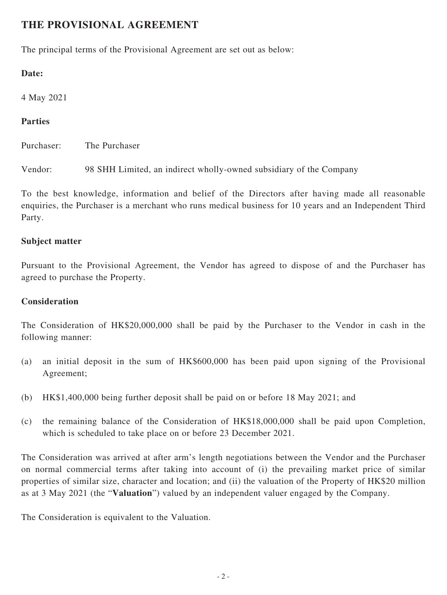## **THE PROVISIONAL AGREEMENT**

The principal terms of the Provisional Agreement are set out as below:

#### **Date:**

4 May 2021

#### **Parties**

Purchaser: The Purchaser

Vendor: 98 SHH Limited, an indirect wholly-owned subsidiary of the Company

To the best knowledge, information and belief of the Directors after having made all reasonable enquiries, the Purchaser is a merchant who runs medical business for 10 years and an Independent Third Party.

#### **Subject matter**

Pursuant to the Provisional Agreement, the Vendor has agreed to dispose of and the Purchaser has agreed to purchase the Property.

#### **Consideration**

The Consideration of HK\$20,000,000 shall be paid by the Purchaser to the Vendor in cash in the following manner:

- (a) an initial deposit in the sum of HK\$600,000 has been paid upon signing of the Provisional Agreement;
- (b) HK\$1,400,000 being further deposit shall be paid on or before 18 May 2021; and
- (c) the remaining balance of the Consideration of HK\$18,000,000 shall be paid upon Completion, which is scheduled to take place on or before 23 December 2021.

The Consideration was arrived at after arm's length negotiations between the Vendor and the Purchaser on normal commercial terms after taking into account of (i) the prevailing market price of similar properties of similar size, character and location; and (ii) the valuation of the Property of HK\$20 million as at 3 May 2021 (the "**Valuation**") valued by an independent valuer engaged by the Company.

The Consideration is equivalent to the Valuation.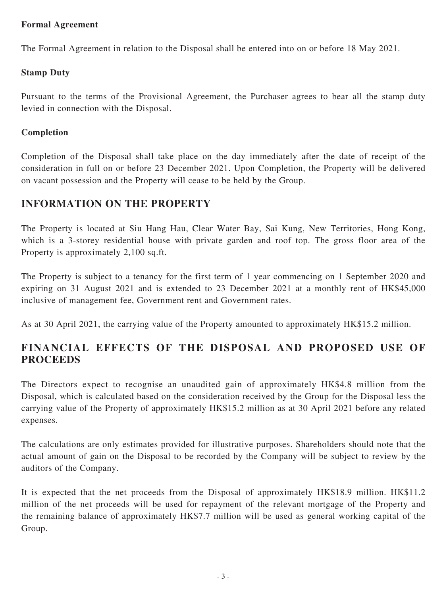#### **Formal Agreement**

The Formal Agreement in relation to the Disposal shall be entered into on or before 18 May 2021.

#### **Stamp Duty**

Pursuant to the terms of the Provisional Agreement, the Purchaser agrees to bear all the stamp duty levied in connection with the Disposal.

#### **Completion**

Completion of the Disposal shall take place on the day immediately after the date of receipt of the consideration in full on or before 23 December 2021. Upon Completion, the Property will be delivered on vacant possession and the Property will cease to be held by the Group.

### **INFORMATION ON THE PROPERTY**

The Property is located at Siu Hang Hau, Clear Water Bay, Sai Kung, New Territories, Hong Kong, which is a 3-storey residential house with private garden and roof top. The gross floor area of the Property is approximately 2,100 sq.ft.

The Property is subject to a tenancy for the first term of 1 year commencing on 1 September 2020 and expiring on 31 August 2021 and is extended to 23 December 2021 at a monthly rent of HK\$45,000 inclusive of management fee, Government rent and Government rates.

As at 30 April 2021, the carrying value of the Property amounted to approximately HK\$15.2 million.

## **FINANCIAL EFFECTS OF THE DISPOSAL AND PROPOSED USE OF PROCEEDS**

The Directors expect to recognise an unaudited gain of approximately HK\$4.8 million from the Disposal, which is calculated based on the consideration received by the Group for the Disposal less the carrying value of the Property of approximately HK\$15.2 million as at 30 April 2021 before any related expenses.

The calculations are only estimates provided for illustrative purposes. Shareholders should note that the actual amount of gain on the Disposal to be recorded by the Company will be subject to review by the auditors of the Company.

It is expected that the net proceeds from the Disposal of approximately HK\$18.9 million. HK\$11.2 million of the net proceeds will be used for repayment of the relevant mortgage of the Property and the remaining balance of approximately HK\$7.7 million will be used as general working capital of the Group.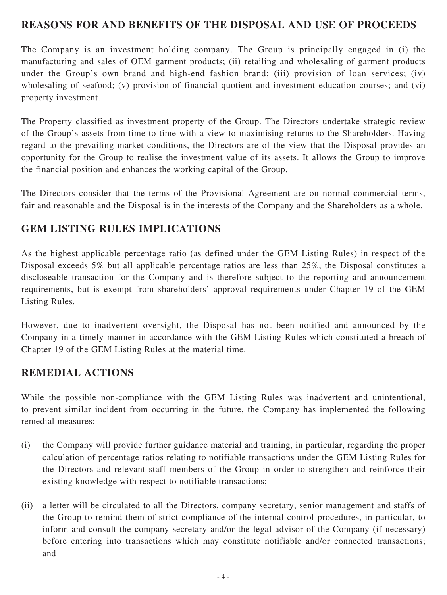### **REASONS FOR AND BENEFITS OF THE DISPOSAL AND USE OF PROCEEDS**

The Company is an investment holding company. The Group is principally engaged in (i) the manufacturing and sales of OEM garment products; (ii) retailing and wholesaling of garment products under the Group's own brand and high-end fashion brand; (iii) provision of loan services; (iv) wholesaling of seafood; (v) provision of financial quotient and investment education courses; and (vi) property investment.

The Property classified as investment property of the Group. The Directors undertake strategic review of the Group's assets from time to time with a view to maximising returns to the Shareholders. Having regard to the prevailing market conditions, the Directors are of the view that the Disposal provides an opportunity for the Group to realise the investment value of its assets. It allows the Group to improve the financial position and enhances the working capital of the Group.

The Directors consider that the terms of the Provisional Agreement are on normal commercial terms, fair and reasonable and the Disposal is in the interests of the Company and the Shareholders as a whole.

### **GEM LISTING RULES IMPLICATIONS**

As the highest applicable percentage ratio (as defined under the GEM Listing Rules) in respect of the Disposal exceeds 5% but all applicable percentage ratios are less than 25%, the Disposal constitutes a discloseable transaction for the Company and is therefore subject to the reporting and announcement requirements, but is exempt from shareholders' approval requirements under Chapter 19 of the GEM Listing Rules.

However, due to inadvertent oversight, the Disposal has not been notified and announced by the Company in a timely manner in accordance with the GEM Listing Rules which constituted a breach of Chapter 19 of the GEM Listing Rules at the material time.

### **REMEDIAL ACTIONS**

While the possible non-compliance with the GEM Listing Rules was inadvertent and unintentional, to prevent similar incident from occurring in the future, the Company has implemented the following remedial measures:

- (i) the Company will provide further guidance material and training, in particular, regarding the proper calculation of percentage ratios relating to notifiable transactions under the GEM Listing Rules for the Directors and relevant staff members of the Group in order to strengthen and reinforce their existing knowledge with respect to notifiable transactions;
- (ii) a letter will be circulated to all the Directors, company secretary, senior management and staffs of the Group to remind them of strict compliance of the internal control procedures, in particular, to inform and consult the company secretary and/or the legal advisor of the Company (if necessary) before entering into transactions which may constitute notifiable and/or connected transactions; and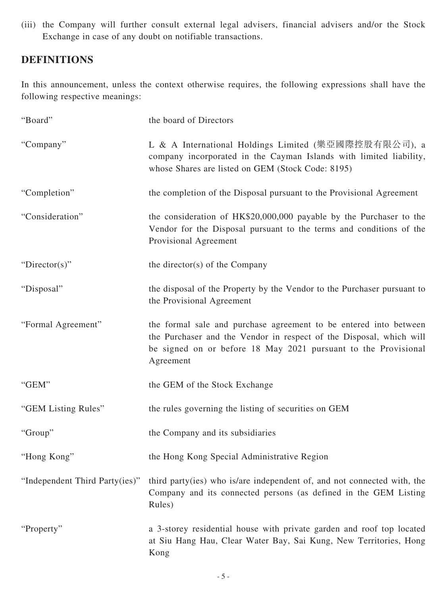(iii) the Company will further consult external legal advisers, financial advisers and/or the Stock Exchange in case of any doubt on notifiable transactions.

# **DEFINITIONS**

In this announcement, unless the context otherwise requires, the following expressions shall have the following respective meanings:

| "Board"                        | the board of Directors                                                                                                                                                                                                  |
|--------------------------------|-------------------------------------------------------------------------------------------------------------------------------------------------------------------------------------------------------------------------|
| "Company"                      | L & A International Holdings Limited (樂亞國際控股有限公司), a<br>company incorporated in the Cayman Islands with limited liability,<br>whose Shares are listed on GEM (Stock Code: 8195)                                         |
| "Completion"                   | the completion of the Disposal pursuant to the Provisional Agreement                                                                                                                                                    |
| "Consideration"                | the consideration of HK\$20,000,000 payable by the Purchaser to the<br>Vendor for the Disposal pursuant to the terms and conditions of the<br>Provisional Agreement                                                     |
| "Director(s)"                  | the director(s) of the Company                                                                                                                                                                                          |
| "Disposal"                     | the disposal of the Property by the Vendor to the Purchaser pursuant to<br>the Provisional Agreement                                                                                                                    |
| "Formal Agreement"             | the formal sale and purchase agreement to be entered into between<br>the Purchaser and the Vendor in respect of the Disposal, which will<br>be signed on or before 18 May 2021 pursuant to the Provisional<br>Agreement |
| "GEM"                          | the GEM of the Stock Exchange                                                                                                                                                                                           |
| "GEM Listing Rules"            | the rules governing the listing of securities on GEM                                                                                                                                                                    |
| "Group"                        | the Company and its subsidiaries                                                                                                                                                                                        |
| "Hong Kong"                    | the Hong Kong Special Administrative Region                                                                                                                                                                             |
| "Independent Third Party(ies)" | third party (ies) who is/are independent of, and not connected with, the<br>Company and its connected persons (as defined in the GEM Listing<br>Rules)                                                                  |
| "Property"                     | a 3-storey residential house with private garden and roof top located<br>at Siu Hang Hau, Clear Water Bay, Sai Kung, New Territories, Hong<br>Kong                                                                      |